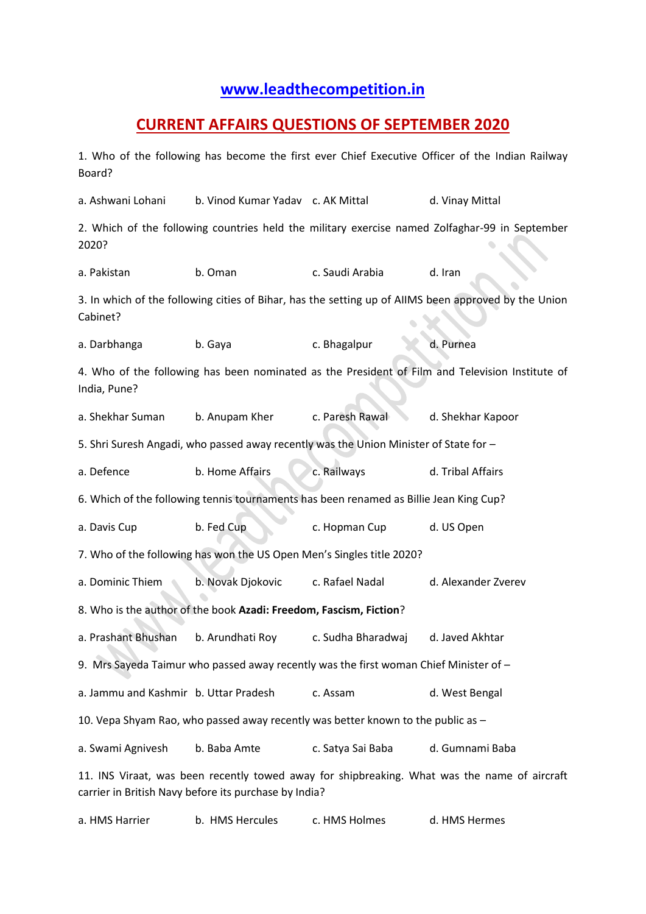## **[www.leadthecompetition.in](http://www.leadthecompetition.in/)**

## **CURRENT AFFAIRS QUESTIONS OF SEPTEMBER 2020**

1. Who of the following has become the first ever Chief Executive Officer of the Indian Railway Board? a. Ashwani Lohani b. Vinod Kumar Yadav c. AK Mittal d. Vinay Mittal 2. Which of the following countries held the military exercise named Zolfaghar-99 in September 2020? a. Pakistan b. Oman c. Saudi Arabia d. Iran 3. In which of the following cities of Bihar, has the setting up of AIIMS been approved by the Union Cabinet? a. Darbhanga b. Gaya c. Bhagalpur d. Purnea 4. Who of the following has been nominated as the President of Film and Television Institute of India, Pune? a. Shekhar Suman b. Anupam Kher c. Paresh Rawal d. Shekhar Kapoor 5. Shri Suresh Angadi, who passed away recently was the Union Minister of State for – a. Defence b. Home Affairs c. Railways d. Tribal Affairs 6. Which of the following tennis tournaments has been renamed as Billie Jean King Cup? a. Davis Cup b. Fed Cup c. Hopman Cup d. US Open 7. Who of the following has won the US Open Men's Singles title 2020? a. Dominic Thiem b. Novak Djokovic c. Rafael Nadal d. Alexander Zverev 8. Who is the author of the book **Azadi: Freedom, Fascism, Fiction**? a. Prashant Bhushan b. Arundhati Roy c. Sudha Bharadwaj d. Javed Akhtar 9. Mrs Sayeda Taimur who passed away recently was the first woman Chief Minister of – a. Jammu and Kashmir b. Uttar Pradesh c. Assam d. West Bengal 10. Vepa Shyam Rao, who passed away recently was better known to the public as – a. Swami Agnivesh b. Baba Amte c. Satya Sai Baba d. Gumnami Baba 11. INS Viraat, was been recently towed away for shipbreaking. What was the name of aircraft carrier in British Navy before its purchase by India?

a. HMS Harrier b. HMS Hercules c. HMS Holmes d. HMS Hermes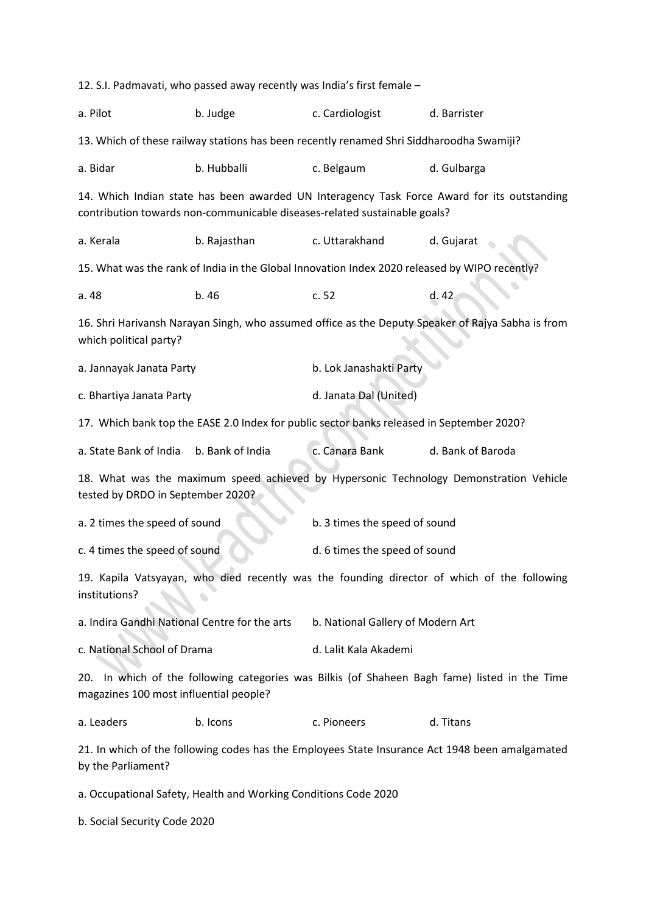12. S.I. Padmavati, who passed away recently was India's first female – a. Pilot b. Judge c. Cardiologist d. Barrister 13. Which of these railway stations has been recently renamed Shri Siddharoodha Swamiji? a. Bidar b. Hubballi c. Belgaum d. Gulbarga 14. Which Indian state has been awarded UN Interagency Task Force Award for its outstanding contribution towards non-communicable diseases-related sustainable goals? a. Kerala b. Rajasthan c. Uttarakhand d. Gujarat 15. What was the rank of India in the Global Innovation Index 2020 released by WIPO recently? a. 48 b. 46 c. 52 d. 42 16. Shri Harivansh Narayan Singh, who assumed office as the Deputy Speaker of Rajya Sabha is from which political party? a. Jannayak Janata Party **b. Lok Janashakti Party** c. Bhartiya Janata Party **d. Janata Dal (United)** 17. Which bank top the EASE 2.0 Index for public sector banks released in September 2020? a. State Bank of India b. Bank of India c. Canara Bank d. Bank of Baroda 18. What was the maximum speed achieved by Hypersonic Technology Demonstration Vehicle tested by DRDO in September 2020? a. 2 times the speed of sound b. 3 times the speed of sound c. 4 times the speed of sound d. 6 times the speed of sound 19. Kapila Vatsyayan, who died recently was the founding director of which of the following institutions? a. Indira Gandhi National Centre for the arts b. National Gallery of Modern Art c. National School of Drama d. Lalit Kala Akademi 20. In which of the following categories was Bilkis (of Shaheen Bagh fame) listed in the Time magazines 100 most influential people? a. Leaders b. Icons c. Pioneers d. Titans 21. In which of the following codes has the Employees State Insurance Act 1948 been amalgamated by the Parliament? a. Occupational Safety, Health and Working Conditions Code 2020 b. Social Security Code 2020